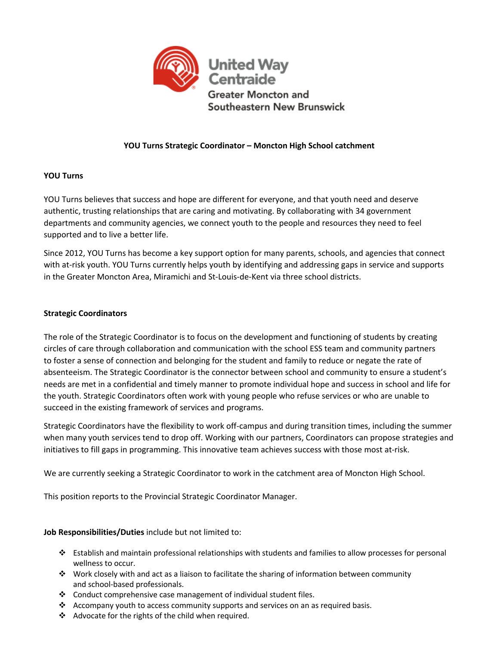

# **YOU Turns Strategic Coordinator – Moncton High School catchment**

# **YOU Turns**

YOU Turns believes that success and hope are different for everyone, and that youth need and deserve authentic, trusting relationships that are caring and motivating. By collaborating with 34 government departments and community agencies, we connect youth to the people and resources they need to feel supported and to live a better life.

Since 2012, YOU Turns has become a key support option for many parents, schools, and agencies that connect with at-risk youth. YOU Turns currently helps youth by identifying and addressing gaps in service and supports in the Greater Moncton Area, Miramichi and St-Louis-de-Kent via three school districts.

## **Strategic Coordinators**

The role of the Strategic Coordinator is to focus on the development and functioning of students by creating circles of care through collaboration and communication with the school ESS team and community partners to foster a sense of connection and belonging for the student and family to reduce or negate the rate of absenteeism. The Strategic Coordinator is the connector between school and community to ensure a student's needs are met in a confidential and timely manner to promote individual hope and success in school and life for the youth. Strategic Coordinators often work with young people who refuse services or who are unable to succeed in the existing framework of services and programs.

Strategic Coordinators have the flexibility to work off-campus and during transition times, including the summer when many youth services tend to drop off. Working with our partners, Coordinators can propose strategies and initiatives to fill gaps in programming. This innovative team achieves success with those most at-risk.

We are currently seeking a Strategic Coordinator to work in the catchment area of Moncton High School.

This position reports to the Provincial Strategic Coordinator Manager.

# **Job Responsibilities/Duties** include but not limited to:

- $\cdot \cdot$  Establish and maintain professional relationships with students and families to allow processes for personal wellness to occur.
- $\cdot \cdot$  Work closely with and act as a liaison to facilitate the sharing of information between community and school-based professionals.
- $\cdot$  Conduct comprehensive case management of individual student files.
- $\div$  Accompany youth to access community supports and services on an as required basis.
- $\triangleleft$  Advocate for the rights of the child when required.